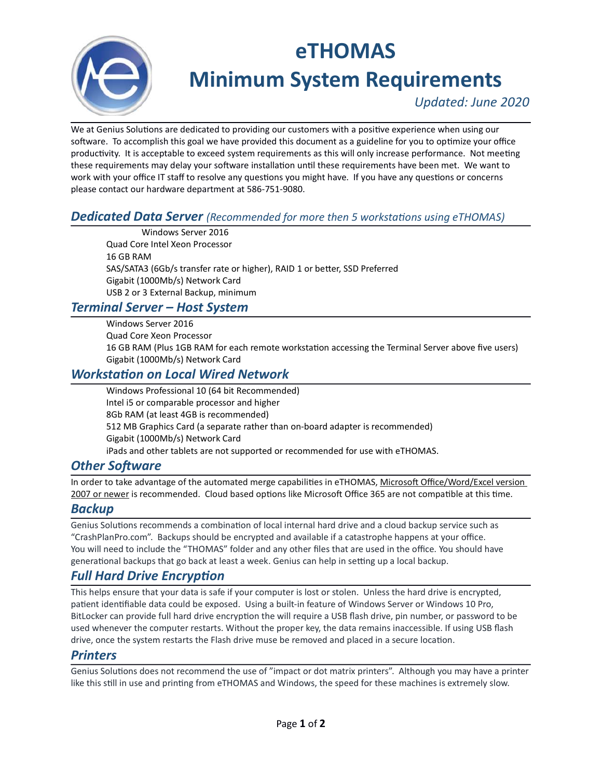

# eTHOMAS

Minimum System Requirements

Updated: June 2020

We at Genius Solutions are dedicated to providing our customers with a positive experience when using our software. To accomplish this goal we have provided this document as a guideline for you to optimize your office productivity. It is acceptable to exceed system requirements as this will only increase performance. Not meeting these requirements may delay your software installation until these requirements have been met. We want to work with your office IT staff to resolve any questions you might have. If you have any questions or concerns please contact our hardware department at 586-751-9080.

## **Dedicated Data Server** (Recommended for more then 5 workstations using eTHOMAS)

Windows Server 2016 Quad Core Intel Xeon Processor 16 GB RAM SAS/SATA3 (6Gb/s transfer rate or higher), RAID 1 or better, SSD Preferred Gigabit (1000Mb/s) Network Card USB 2 or 3 External Backup, minimum

## Terminal Server – Host System

Windows Server 2016 Quad Core Xeon Processor 16 GB RAM (Plus 1GB RAM for each remote workstation accessing the Terminal Server above five users) Gigabit (1000Mb/s) Network Card

## Workstation on Local Wired Network

Windows Professional 10 (64 bit Recommended) Intel i5 or comparable processor and higher 8Gb RAM (at least 4GB is recommended) 512 MB Graphics Card (a separate rather than on-board adapter is recommended) Gigabit (1000Mb/s) Network Card iPads and other tablets are not supported or recommended for use with eTHOMAS.

## **Other Software**

In order to take advantage of the automated merge capabilities in eTHOMAS, Microsoft Office/Word/Excel version 2007 or newer is recommended. Cloud based options like Microsoft Office 365 are not compatible at this time.

## Backup

Genius Solutions recommends a combination of local internal hard drive and a cloud backup service such as "CrashPlanPro.com". Backups should be encrypted and available if a catastrophe happens at your office. You will need to include the "THOMAS" folder and any other files that are used in the office. You should have generational backups that go back at least a week. Genius can help in setting up a local backup.

# **Full Hard Drive Encryption**

This helps ensure that your data is safe if your computer is lost or stolen. Unless the hard drive is encrypted, patient identifiable data could be exposed. Using a built-in feature of Windows Server or Windows 10 Pro, BitLocker can provide full hard drive encryption the will require a USB flash drive, pin number, or password to be used whenever the computer restarts. Without the proper key, the data remains inaccessible. If using USB flash drive, once the system restarts the Flash drive muse be removed and placed in a secure location.

#### **Printers**

Genius Solutions does not recommend the use of "impact or dot matrix printers". Although you may have a printer like this still in use and printing from eTHOMAS and Windows, the speed for these machines is extremely slow.